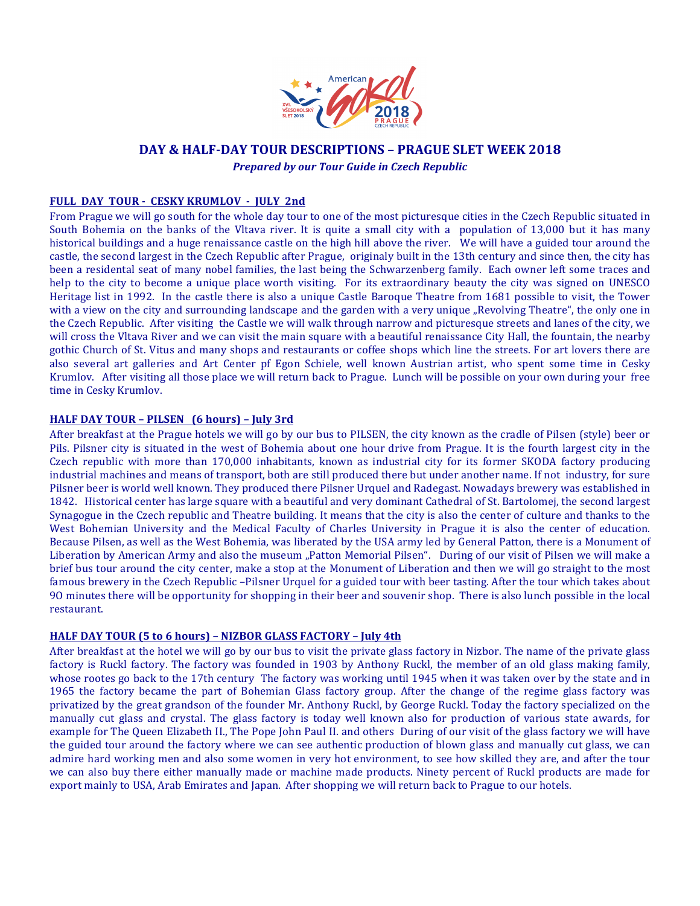

# **DAY & HALF-DAY TOUR DESCRIPTIONS – PRAGUE SLET WEEK 2018**

*Prepared by our Tour Guide in Czech Republic*

## **FULL DAY TOUR - CESKY KRUMLOV - JULY 2nd**

From Prague we will go south for the whole day tour to one of the most picturesque cities in the Czech Republic situated in South Bohemia on the banks of the Vltava river. It is quite a small city with a population of 13,000 but it has many historical buildings and a huge renaissance castle on the high hill above the river. We will have a guided tour around the castle, the second largest in the Czech Republic after Prague, originaly built in the 13th century and since then, the city has been a residental seat of many nobel families, the last being the Schwarzenberg family. Each owner left some traces and help to the city to become a unique place worth visiting. For its extraordinary beauty the city was signed on UNESCO Heritage list in 1992. In the castle there is also a unique Castle Baroque Theatre from 1681 possible to visit, the Tower with a view on the city and surrounding landscape and the garden with a very unique "Revolving Theatre", the only one in the Czech Republic. After visiting the Castle we will walk through narrow and picturesque streets and lanes of the city, we will cross the Vltava River and we can visit the main square with a beautiful renaissance City Hall, the fountain, the nearby gothic Church of St. Vitus and many shops and restaurants or coffee shops which line the streets. For art lovers there are also several art galleries and Art Center pf Egon Schiele, well known Austrian artist, who spent some time in Cesky Krumlov. After visiting all those place we will return back to Prague. Lunch will be possible on your own during your free time in Cesky Krumlov.

### **HALF DAY TOUR – PILSEN (6 hours) – July 3rd**

After breakfast at the Prague hotels we will go by our bus to PILSEN, the city known as the cradle of Pilsen (style) beer or Pils. Pilsner city is situated in the west of Bohemia about one hour drive from Prague. It is the fourth largest city in the Czech republic with more than 170,000 inhabitants, known as industrial city for its former SKODA factory producing industrial machines and means of transport, both are still produced there but under another name. If not industry, for sure Pilsner beer is world well known. They produced there Pilsner Urquel and Radegast. Nowadays brewery was established in 1842. Historical center has large square with a beautiful and very dominant Cathedral of St. Bartolomej, the second largest Synagogue in the Czech republic and Theatre building. It means that the city is also the center of culture and thanks to the West Bohemian University and the Medical Faculty of Charles University in Prague it is also the center of education. Because Pilsen, as well as the West Bohemia, was liberated by the USA army led by General Patton, there is a Monument of Liberation by American Army and also the museum "Patton Memorial Pilsen". During of our visit of Pilsen we will make a brief bus tour around the city center, make a stop at the Monument of Liberation and then we will go straight to the most famous brewery in the Czech Republic –Pilsner Urquel for a guided tour with beer tasting. After the tour which takes about 90 minutes there will be opportunity for shopping in their beer and souvenir shop. There is also lunch possible in the local restaurant.

#### **HALF DAY TOUR (5 to 6 hours) - NIZBOR GLASS FACTORY - July 4th**

After breakfast at the hotel we will go by our bus to visit the private glass factory in Nizbor. The name of the private glass factory is Ruckl factory. The factory was founded in 1903 by Anthony Ruckl, the member of an old glass making family, whose rootes go back to the 17th century The factory was working until 1945 when it was taken over by the state and in 1965 the factory became the part of Bohemian Glass factory group. After the change of the regime glass factory was privatized by the great grandson of the founder Mr. Anthony Ruckl, by George Ruckl. Today the factory specialized on the manually cut glass and crystal. The glass factory is today well known also for production of various state awards, for example for The Queen Elizabeth II., The Pope John Paul II. and others During of our visit of the glass factory we will have the guided tour around the factory where we can see authentic production of blown glass and manually cut glass, we can admire hard working men and also some women in very hot environment, to see how skilled they are, and after the tour we can also buy there either manually made or machine made products. Ninety percent of Ruckl products are made for export mainly to USA, Arab Emirates and Japan. After shopping we will return back to Prague to our hotels.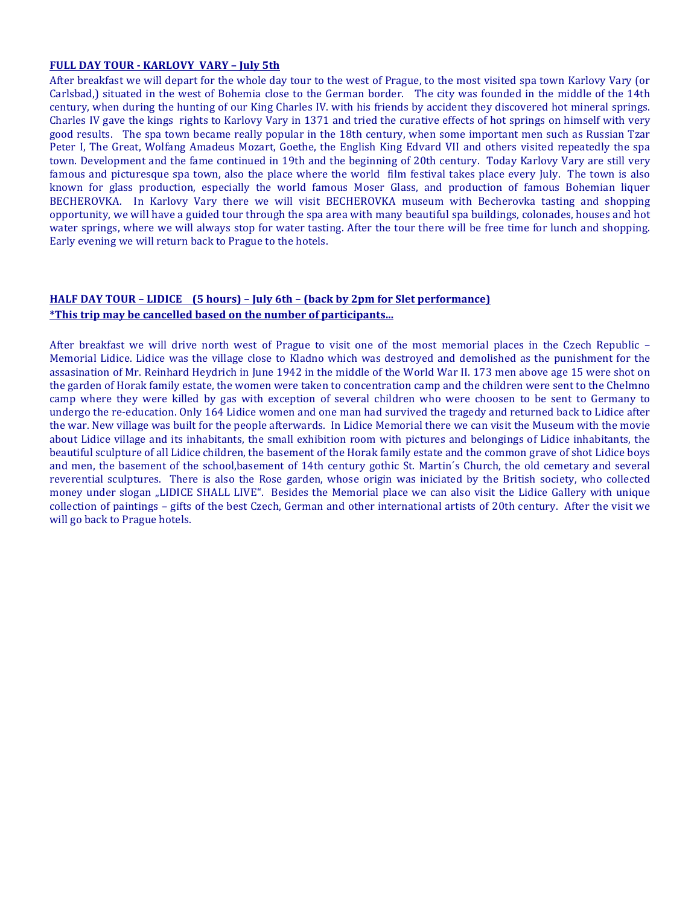#### **FULL DAY TOUR - KARLOVY VARY – July 5th**

After breakfast we will depart for the whole day tour to the west of Prague, to the most visited spa town Karlovy Vary (or Carlsbad,) situated in the west of Bohemia close to the German border. The city was founded in the middle of the 14th century, when during the hunting of our King Charles IV. with his friends by accident they discovered hot mineral springs. Charles IV gave the kings rights to Karlovy Vary in 1371 and tried the curative effects of hot springs on himself with very good results. The spa town became really popular in the 18th century, when some important men such as Russian Tzar Peter I, The Great, Wolfang Amadeus Mozart, Goethe, the English King Edvard VII and others visited repeatedly the spa town. Development and the fame continued in 19th and the beginning of 20th century. Today Karlovy Vary are still very famous and picturesque spa town, also the place where the world film festival takes place every July. The town is also known for glass production, especially the world famous Moser Glass, and production of famous Bohemian liquer BECHEROVKA. In Karlovy Vary there we will visit BECHEROVKA museum with Becherovka tasting and shopping opportunity, we will have a guided tour through the spa area with many beautiful spa buildings, colonades, houses and hot water springs, where we will always stop for water tasting. After the tour there will be free time for lunch and shopping. Early evening we will return back to Prague to the hotels.

# **HALF DAY TOUR – LIDICE** (5 hours) – July 6th – (back by 2pm for Slet performance) \*This trip may be cancelled based on the number of participants...

After breakfast we will drive north west of Prague to visit one of the most memorial places in the Czech Republic -Memorial Lidice. Lidice was the village close to Kladno which was destroyed and demolished as the punishment for the assasination of Mr. Reinhard Heydrich in June 1942 in the middle of the World War II. 173 men above age 15 were shot on the garden of Horak family estate, the women were taken to concentration camp and the children were sent to the Chelmno camp where they were killed by gas with exception of several children who were choosen to be sent to Germany to undergo the re-education. Only 164 Lidice women and one man had survived the tragedy and returned back to Lidice after the war. New village was built for the people afterwards. In Lidice Memorial there we can visit the Museum with the movie about Lidice village and its inhabitants, the small exhibition room with pictures and belongings of Lidice inhabitants, the beautiful sculpture of all Lidice children, the basement of the Horak family estate and the common grave of shot Lidice boys and men, the basement of the school,basement of 14th century gothic St. Martin's Church, the old cemetary and several reverential sculptures. There is also the Rose garden, whose origin was iniciated by the British society, who collected money under slogan "LIDICE SHALL LIVE". Besides the Memorial place we can also visit the Lidice Gallery with unique collection of paintings – gifts of the best Czech, German and other international artists of 20th century. After the visit we will go back to Prague hotels.